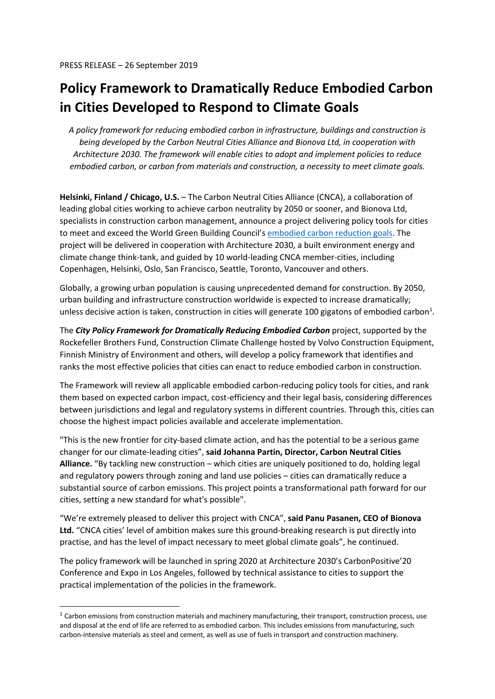## **Policy Framework to Dramatically Reduce Embodied Carbon in Cities Developed to Respond to Climate Goals**

*A policy framework for reducing embodied carbon in infrastructure, buildings and construction is being developed by the Carbon Neutral Cities Alliance and Bionova Ltd, in cooperation with Architecture 2030. The framework will enable cities to adopt and implement policies to reduce embodied carbon, or carbon from materials and construction, a necessity to meet climate goals.* 

**Helsinki, Finland / Chicago, U.S.** – The Carbon Neutral Cities Alliance (CNCA), a collaboration of leading global cities working to achieve carbon neutrality by 2050 or sooner, and Bionova Ltd, specialists in construction carbon management, announce a project delivering policy tools for cities to meet and exceed the World Green Building Council's embodied carbon reduction goals. The project will be delivered in cooperation with Architecture 2030, a built environment energy and climate change think-tank, and guided by 10 world-leading CNCA member-cities, including Copenhagen, Helsinki, Oslo, San Francisco, Seattle, Toronto, Vancouver and others.

Globally, a growing urban population is causing unprecedented demand for construction. By 2050, urban building and infrastructure construction worldwide is expected to increase dramatically; unless decisive action is taken, construction in cities will generate 100 gigatons of embodied carbon<sup>1</sup>.

The *City Policy Framework for Dramatically Reducing Embodied Carbon* project, supported by the Rockefeller Brothers Fund, Construction Climate Challenge hosted by Volvo Construction Equipment, Finnish Ministry of Environment and others, will develop a policy framework that identifies and ranks the most effective policies that cities can enact to reduce embodied carbon in construction.

The Framework will review all applicable embodied carbon-reducing policy tools for cities, and rank them based on expected carbon impact, cost-efficiency and their legal basis, considering differences between jurisdictions and legal and regulatory systems in different countries. Through this, cities can choose the highest impact policies available and accelerate implementation.

"This is the new frontier for city-based climate action, and has the potential to be a serious game changer for our climate-leading cities", **said Johanna Partin, Director, Carbon Neutral Cities Alliance.** "By tackling new construction – which cities are uniquely positioned to do, holding legal and regulatory powers through zoning and land use policies – cities can dramatically reduce a substantial source of carbon emissions. This project points a transformational path forward for our cities, setting a new standard for what's possible".

"We're extremely pleased to deliver this project with CNCA", **said Panu Pasanen, CEO of Bionova Ltd.** "CNCA cities' level of ambition makes sure this ground-breaking research is put directly into practise, and has the level of impact necessary to meet global climate goals", he continued.

The policy framework will be launched in spring 2020 at Architecture 2030's CarbonPositive'20 Conference and Expo in Los Angeles, followed by technical assistance to cities to support the practical implementation of the policies in the framework.

 $1$  Carbon emissions from construction materials and machinery manufacturing, their transport, construction process, use and disposal at the end of life are referred to as embodied carbon. This includes emissions from manufacturing, such carbon-intensive materials as steel and cement, as well as use of fuels in transport and construction machinery.